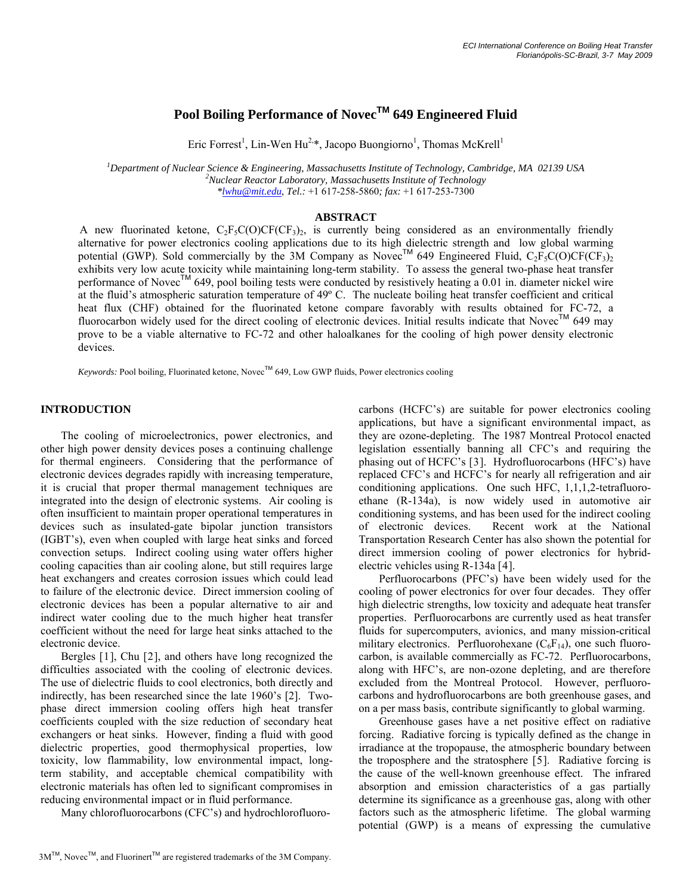# **Pool Boiling Performance of NovecTM 649 Engineered Fluid**

Eric Forrest<sup>1</sup>, Lin-Wen Hu<sup>2,\*</sup>, Jacopo Buongiorno<sup>1</sup>, Thomas McKrell<sup>1</sup>

*1 Department of Nuclear Science & Engineering, Massachusetts Institute of Technology, Cambridge, MA 02139 USA <sup>2</sup> Nuclear Reactor Laboratory, Massachusetts Institute of Technology \*lwhu@mit.edu*, *Tel.:* +1 617-258-5860*; fax:* +1 617-253-7300

# **ABSTRACT**

A new fluorinated ketone,  $C_2F_5C(O)CF(CF_3)$ , is currently being considered as an environmentally friendly alternative for power electronics cooling applications due to its high dielectric strength and low global warming potential (GWP). Sold commercially by the 3M Company as Novec<sup>TM</sup> 649 Engineered Fluid,  $C_2F_5C(O)CF(CF_3)_2$ exhibits very low acute toxicity while maintaining long-term stability. To assess the general two-phase heat transfer performance of Novec<sup>TM</sup> 649, pool boiling tests were conducted by resistively heating a 0.01 in. diameter nickel wire at the fluid's atmospheric saturation temperature of 49º C. The nucleate boiling heat transfer coefficient and critical heat flux (CHF) obtained for the fluorinated ketone compare favorably with results obtained for FC-72, a fluorocarbon widely used for the direct cooling of electronic devices. Initial results indicate that Novec™ 649 may prove to be a viable alternative to FC-72 and other haloalkanes for the cooling of high power density electronic devices.

*Keywords:* Pool boiling, Fluorinated ketone, Novec™ 649, Low GWP fluids, Power electronics cooling

# **INTRODUCTION**

 The cooling of microelectronics, power electronics, and other high power density devices poses a continuing challenge for thermal engineers. Considering that the performance of electronic devices degrades rapidly with increasing temperature, it is crucial that proper thermal management techniques are integrated into the design of electronic systems. Air cooling is often insufficient to maintain proper operational temperatures in devices such as insulated-gate bipolar junction transistors (IGBT's), even when coupled with large heat sinks and forced convection setups. Indirect cooling using water offers higher cooling capacities than air cooling alone, but still requires large heat exchangers and creates corrosion issues which could lead to failure of the electronic device. Direct immersion cooling of electronic devices has been a popular alternative to air and indirect water cooling due to the much higher heat transfer coefficient without the need for large heat sinks attached to the electronic device.

<span id="page-0-0"></span> Bergles [[1](#page-5-0)], Chu [[2](#page-5-1)], and others have long recognized the difficulties associated with the cooling of electronic devices. The use of dielectric fluids to cool electronics, both directly and indirectly, has been researched since the late 1960's [\[2](#page-0-0)]. Twophase direct immersion cooling offers high heat transfer coefficients coupled with the size reduction of secondary heat exchangers or heat sinks. However, finding a fluid with good dielectric properties, good thermophysical properties, low toxicity, low flammability, low environmental impact, longterm stability, and acceptable chemical compatibility with electronic materials has often led to significant compromises in reducing environmental impact or in fluid performance.

Many chlorofluorocarbons (CFC's) and hydrochlorofluoro-

 $3M^{TM}$ , Novec<sup>TM</sup>, and Fluorinert<sup>TM</sup> are registered trademarks of the 3M Company.

carbons (HCFC's) are suitable for power electronics cooling applications, but have a significant environmental impact, as they are ozone-depleting. The 1987 Montreal Protocol enacted legislation essentially banning all CFC's and requiring the phasing out of HCFC's [[3](#page-5-1)]. Hydrofluorocarbons (HFC's) have replaced CFC's and HCFC's for nearly all refrigeration and air conditioning applications. One such HFC, 1,1,1,2-tetrafluoroethane (R-134a), is now widely used in automotive air conditioning systems, and has been used for the indirect cooling of electronic devices. Recent work at the National Transportation Research Center has also shown the potential for direct immersion cooling of power electronics for hybridelectric vehicles using R-134a [[4](#page-5-1)].

 Perfluorocarbons (PFC's) have been widely used for the cooling of power electronics for over four decades. They offer high dielectric strengths, low toxicity and adequate heat transfer properties. Perfluorocarbons are currently used as heat transfer fluids for supercomputers, avionics, and many mission-critical military electronics. Perfluorohexane  $(C_6F_{14})$ , one such fluorocarbon, is available commercially as FC-72. Perfluorocarbons, along with HFC's, are non-ozone depleting, and are therefore excluded from the Montreal Protocol. However, perfluorocarbons and hydrofluorocarbons are both greenhouse gases, and on a per mass basis, contribute significantly to global warming.

 Greenhouse gases have a net positive effect on radiative forcing. Radiative forcing is typically defined as the change in irradiance at the tropopause, the atmospheric boundary between the troposphere and the stratosphere [[5](#page-5-1)]. Radiative forcing is the cause of the well-known greenhouse effect. The infrared absorption and emission characteristics of a gas partially determine its significance as a greenhouse gas, along with other factors such as the atmospheric lifetime. The global warming potential (GWP) is a means of expressing the cumulative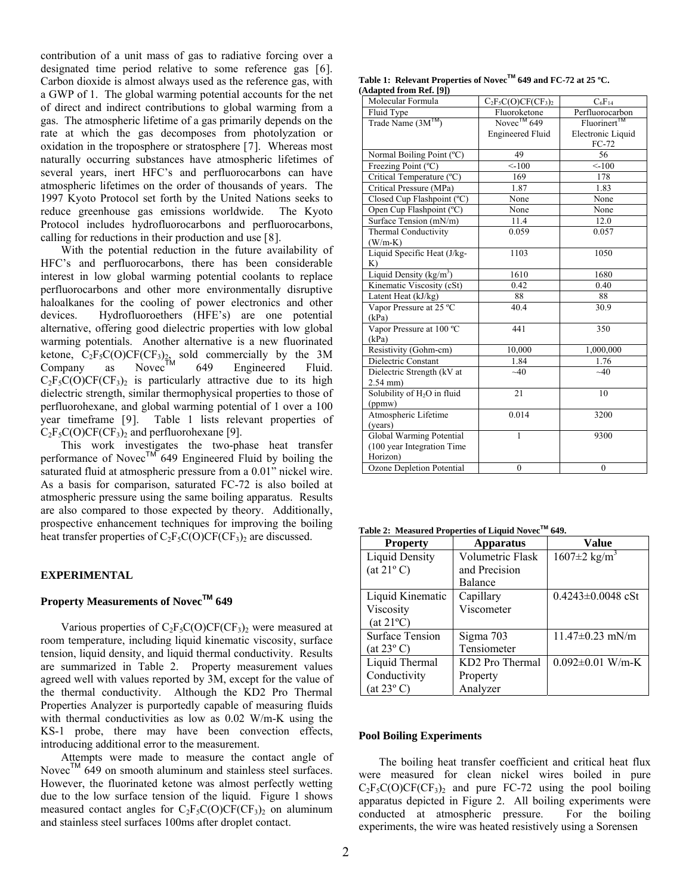<span id="page-1-0"></span>contribution of a unit mass of gas to radiative forcing over a designated time period relative to some reference gas [[6](#page-5-1)]. Carbon dioxide is almost always used as the reference gas, with a GWP of 1. The global warming potential accounts for the net of direct and indirect contributions to global warming from a gas. The atmospheric lifetime of a gas primarily depends on the rate at which the gas decomposes from photolyzation or oxidation in the troposphere or stratosphere [[7](#page-5-1)]. Whereas most naturally occurring substances have atmospheric lifetimes of several years, inert HFC's and perfluorocarbons can have atmospheric lifetimes on the order of thousands of years. The 1997 Kyoto Protocol set forth by the United Nations seeks to reduce greenhouse gas emissions worldwide. The Kyoto Protocol includes hydrofluorocarbons and perfluorocarbons, calling for reductions in their production and use [[8](#page-6-0)].

 With the potential reduction in the future availability of HFC's and perfluorocarbons, there has been considerable interest in low global warming potential coolants to replace perfluorocarbons and other more environmentally disruptive haloalkanes for the cooling of power electronics and other devices. Hydrofluoroethers (HFE's) are one potential alternative, offering good dielectric properties with low global warming potentials. Another alternative is a new fluorinated ketone,  $C_2F_5C(O)CF(CF_3)_{2,2}$  sold commercially by the 3M Company as Novec $\vec{T}^{M}$  649 Engineered Fluid.  $C_2F_5C(O)CF(CF_3)$  is particularly attractive due to its high dielectric strength, similar thermophysical properties to those of perfluorohexane, and global warming potential of 1 over a 100 year timeframe [[9](#page-6-0)]. [Table 1](#page-1-0) lists relevant properties of  $C_2F_5C(O)CF(CF_3)_2$  and perfluorohexane [[9\]](#page-1-1).

<span id="page-1-1"></span> This work investigates the two-phase heat transfer performance of Novec<sup>TM</sup> 649 Engineered Fluid by boiling the saturated fluid at atmospheric pressure from a 0.01" nickel wire. As a basis for comparison, saturated FC-72 is also boiled at atmospheric pressure using the same boiling apparatus. Results are also compared to those expected by theory. Additionally, prospective enhancement techniques for improving the boiling heat transfer properties of  $C_2F_5C(O)CF(CF_3)$  are discussed.

## <span id="page-1-2"></span>**EXPERIMENTAL**

## **Property Measurements of NovecTM 649**

Various properties of  $C_2F_5C(O)CF(CF_3)_2$  were measured at room temperature, including liquid kinematic viscosity, surface tension, liquid density, and liquid thermal conductivity. Results are summarized in [Table 2.](#page-1-2) Property measurement values agreed well with values reported by 3M, except for the value of the thermal conductivity. Although the KD2 Pro Thermal Properties Analyzer is purportedly capable of measuring fluids with thermal conductivities as low as 0.02 W/m-K using the KS-1 probe, there may have been convection effects, introducing additional error to the measurement.

 Attempts were made to measure the contact angle of Novec<sup>TM</sup>  $649$  on smooth aluminum and stainless steel surfaces. However, the fluorinated ketone was almost perfectly wetting due to the low surface tension of the liquid. [Figure 1](#page-2-0) shows measured contact angles for  $C_2F_5C(O)CF(CF_3)_2$  on aluminum and stainless steel surfaces 100ms after droplet contact.

**Table 1: Relevant Properties of NovecTM 649 and FC-72 at 25 ºC. (Adapted from Ref. [\[9](#page-1-1)])** 

| Molecular Formula                       | $C_2F_5C(O)CF(CF_3)$    | $C_6F_{14}$             |
|-----------------------------------------|-------------------------|-------------------------|
| Fluid Type                              | Fluoroketone            | Perfluorocarbon         |
| Trade Name (3M <sup>1M</sup> )          | Novec <sup>1M</sup> 649 | Fluorinert <sup>™</sup> |
|                                         | <b>Engineered Fluid</b> | Electronic Liquid       |
|                                         |                         | $FC-72$                 |
| Normal Boiling Point (°C)               | 49                      | 56                      |
| Freezing Point (°C)                     | < 100                   | < 100                   |
| Critical Temperature (°C)               | 169                     | 178                     |
| Critical Pressure (MPa)                 | 1.87                    | 1.83                    |
| Closed Cup Flashpoint (°C)              | None                    | None                    |
| Open Cup Flashpoint (°C)                | None                    | None                    |
| Surface Tension (mN/m)                  | 11.4                    | 12.0                    |
| <b>Thermal Conductivity</b>             | 0.059                   | 0.057                   |
| $(W/m-K)$                               |                         |                         |
| Liquid Specific Heat (J/kg-             | 1103                    | 1050                    |
| K)                                      |                         |                         |
| Liquid Density (kg/m <sup>3</sup> )     | 1610                    | 1680                    |
| Kinematic Viscosity (cSt)               | 0.42                    | 0.40                    |
| Latent Heat (kJ/kg)                     | 88                      | 88                      |
| Vapor Pressure at 25 °C                 | 40.4                    | 30.9                    |
| (kPa)                                   |                         |                         |
| Vapor Pressure at 100 °C                | 441                     | 350                     |
| (kPa)                                   |                         |                         |
| Resistivity (Gohm-cm)                   | 10,000                  | 1,000,000               |
| Dielectric Constant                     | 1.84                    | 1.76                    |
| Dielectric Strength (kV at              | ~10                     | ~10                     |
| $2.54$ mm $)$                           |                         |                         |
| Solubility of H <sub>2</sub> O in fluid | 21                      | 10                      |
| (ppmw)                                  |                         |                         |
| Atmospheric Lifetime                    | 0.014                   | 3200                    |
| (years)                                 |                         |                         |
| Global Warming Potential                | 1                       | 9300                    |
| (100 year Integration Time)             |                         |                         |
| Horizon)                                |                         |                         |
| Ozone Depletion Potential               | $\mathbf{0}$            | $\theta$                |

**Table 2: Measured Properties of Liquid NovecTM 649.** 

| <b>Property</b>        | Apparatus        | Value                          |
|------------------------|------------------|--------------------------------|
| <b>Liquid Density</b>  | Volumetric Flask | $1607 \pm 2$ kg/m <sup>3</sup> |
| $(at 21^{\circ} C)$    | and Precision    |                                |
|                        | Balance          |                                |
| Liquid Kinematic       | Capillary        | $0.4243 \pm 0.0048$ cSt        |
| Viscosity              | Viscometer       |                                |
| $(at 21^{\circ}C)$     |                  |                                |
| <b>Surface Tension</b> | Sigma 703        | $11.47 \pm 0.23$ mN/m          |
| $(at 23^{\circ} C)$    | Tensiometer      |                                |
| Liquid Thermal         | KD2 Pro Thermal  | $0.092 \pm 0.01$ W/m-K         |
| Conductivity           | Property         |                                |
| $(at 23^{\circ} C)$    | Analyzer         |                                |

#### **Pool Boiling Experiments**

 The boiling heat transfer coefficient and critical heat flux were measured for clean nickel wires boiled in pure  $C_2F_5C(O)CF(CF_3)$ <sub>2</sub> and pure FC-72 using the pool boiling apparatus depicted in [Figure 2](#page-2-1). All boiling experiments were conducted at atmospheric pressure. For the boiling experiments, the wire was heated resistively using a Sorensen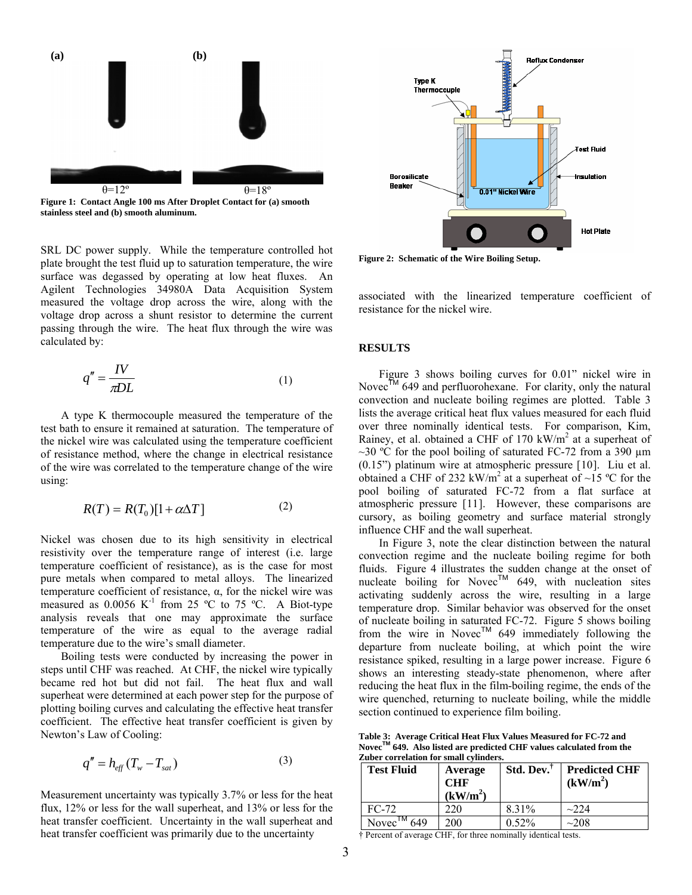

<span id="page-2-0"></span>**Figure 1: Contact Angle 100 ms After Droplet Contact for (a) smooth stainless steel and (b) smooth aluminum.** 

<span id="page-2-1"></span>SRL DC power supply. While the temperature controlled hot plate brought the test fluid up to saturation temperature, the wire surface was degassed by operating at low heat fluxes. An Agilent Technologies 34980A Data Acquisition System measured the voltage drop across the wire, along with the voltage drop across a shunt resistor to determine the current passing through the wire. The heat flux through the wire was calculated by:

$$
q'' = \frac{IV}{\pi DL} \tag{1}
$$

<span id="page-2-3"></span> A type K thermocouple measured the temperature of the test bath to ensure it remained at saturation. The temperature of the nickel wire was calculated using the temperature coefficient of resistance method, where the change in electrical resistance of the wire was correlated to the temperature change of the wire using:

$$
R(T) = R(T_0)[1 + \alpha \Delta T] \tag{2}
$$

Nickel was chosen due to its high sensitivity in electrical resistivity over the temperature range of interest (i.e. large temperature coefficient of resistance), as is the case for most pure metals when compared to metal alloys. The linearized temperature coefficient of resistance, α, for the nickel wire was measured as  $0.0056$  K<sup>-1</sup> from 25 °C to 75 °C. A Biot-type analysis reveals that one may approximate the surface temperature of the wire as equal to the average radial temperature due to the wire's small diameter.

 Boiling tests were conducted by increasing the power in steps until CHF was reached. At CHF, the nickel wire typically became red hot but did not fail. The heat flux and wall superheat were determined at each power step for the purpose of plotting boiling curves and calculating the effective heat transfer coefficient. The effective heat transfer coefficient is given by Newton's Law of Cooling: **Table 3: Average Critical Heat Flux Values Measured for FC-72 and** 

$$
q'' = h_{eff}(T_w - T_{sat})
$$
\n(3) **Zuber correlation for small cylinders.**\n  
\n**Test Fluid** Average

<span id="page-2-2"></span>Measurement uncertainty was typically 3.7% or less for the heat flux, 12% or less for the wall superheat, and 13% or less for the heat transfer coefficient. Uncertainty in the wall superheat and heat transfer coefficient was primarily due to the uncertainty  $\ddot{\phi}$  Percent of average CHF, for three nominally identical tests.



**Figure 2: Schematic of the Wire Boiling Setup.** 

associated with the linearized temperature coefficient of resistance for the nickel wire.

#### **RESULTS**

 $m = \frac{IV}{\pi DL}$  (1) [Figure 3](#page-3-0) shows boiling curves for 0.01" nickel wire in Novec<sup>TM</sup> 649 and perfluorohexane. For clarity, only the natural convection and nucleate boiling regimes are plotted. [Table 3](#page-2-2) lists the average critical heat flux values measured for each fluid over three nominally identical tests. For comparison, Kim, Rainey, et al. obtained a CHF of 170 kW/m<sup>2</sup> at a superheat of ~30 °C for the pool boiling of saturated FC-72 from a 390  $\mu$ m (0.15") platinum wire at atmospheric pressure [[10](#page-6-0)]. Liu et al. obtained a CHF of 232 kW/m<sup>2</sup> at a superheat of ~15 °C for the pool boiling of saturated FC-72 from a flat surface at atmospheric pressure [[11](#page-6-0)]. However, these comparisons are cursory, as boiling geometry and surface material strongly influence CHF and the wall superheat.

> In [Figure 3,](#page-3-0) note the clear distinction between the natural convection regime and the nucleate boiling regime for both fluids. [Figure 4](#page-3-1) illustrates the sudden change at the onset of nucleate boiling for Novec<sup>TM</sup> 649, with nucleation sites activating suddenly across the wire, resulting in a large temperature drop. Similar behavior was observed for the onset of nucleate boiling in saturated FC-72. [Figure 5](#page-3-2) shows boiling from the wire in Novec<sup>TM</sup> 649 immediately following the departure from nucleate boiling, at which point the wire resistance spiked, resulting in a large power increase. [Figure 6](#page-4-0) shows an interesting steady-state phenomenon, where after reducing the heat flux in the film-boiling regime, the ends of the wire quenched, returning to nucleate boiling, while the middle section continued to experience film boiling.

Novec<sup>TM</sup> 649. Also listed are predicted CHF values calculated from the **Zuber correlation for small cylinders**.

| <b>Test Fluid</b>          | Average<br><b>CHF</b><br>(kW/m <sup>2</sup> ) | Std. Dev. | <b>Predicted CHF</b><br>(kW/m <sup>2</sup> ) |
|----------------------------|-----------------------------------------------|-----------|----------------------------------------------|
| $FC-72$                    | 220                                           | 8.31%     | $\sim$ 224                                   |
| Novec <sup>1M</sup><br>649 | 200                                           | 0.52%     | ~208                                         |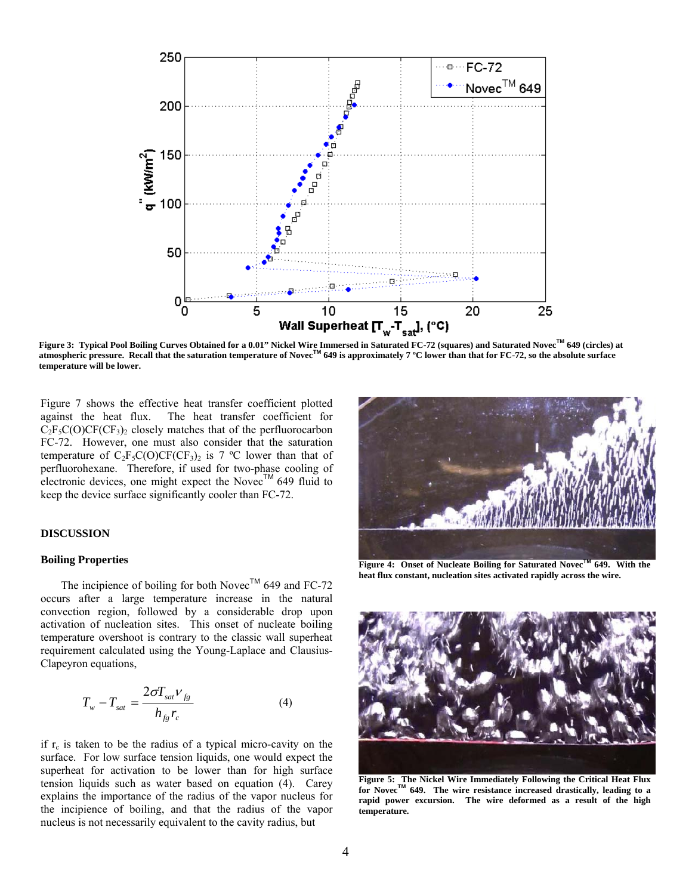

<span id="page-3-0"></span>**Figure 3: Typical Pool Boiling Curves Obtained for a 0.01" Nickel Wire Immersed in Saturated FC-72 (squares) and Saturated NovecTM 649 (circles) at atmospheric pressure. Recall that the saturation temperature of NovecTM 649 is approximately 7 ºC lower than that for FC-72, so the absolute surface temperature will be lower.** 

[Figure 7](#page-4-1) shows the effective heat transfer coefficient plotted against the heat flux. The heat transfer coefficient for  $C_2F_5C(O)CF(CF_3)_2$  closely matches that of the perfluorocarbon FC-72. However, one must also consider that the saturation temperature of  $C_2F_5C(O)CF(CF_3)$  is 7 °C lower than that of perfluorohexane. Therefore, if used for two-phase cooling of electronic devices, one might expect the Novec<sup>TM</sup> 649 fluid to keep the device surface significantly cooler than FC-72.

#### **DISCUSSION**

#### <span id="page-3-1"></span>**Boiling Properties**

The incipience of boiling for both Novec<sup>TM</sup> 649 and FC-72 occurs after a large temperature increase in the natural convection region, followed by a considerable drop upon activation of nucleation sites. This onset of nucleate boiling temperature overshoot is contrary to the classic wall superheat requirement calculated using the Young-Laplace and Clausius-Clapeyron equations,

$$
T_w - T_{sat} = \frac{2\sigma T_{sat} V_{fg}}{h_{fg} r_c}
$$
 (4)

<span id="page-3-2"></span>if  $r_c$  is taken to be the radius of a typical micro-cavity on the surface. For low surface tension liquids, one would expect the superheat for activation to be lower than for high surface tension liquids such as water based on equation (4). Carey explains the importance of the radius of the vapor nucleus for the incipience of boiling, and that the radius of the vapor nucleus is not necessarily equivalent to the cavity radius, but



**Figure 4: Onset of Nucleate Boiling for Saturated NovecTM 649. With the heat flux constant, nucleation sites activated rapidly across the wire.** 



**Figure 5: The Nickel Wire Immediately Following the Critical Heat Flux for NovecTM 649. The wire resistance increased drastically, leading to a rapid power excursion. The wire deformed as a result of the high temperature.**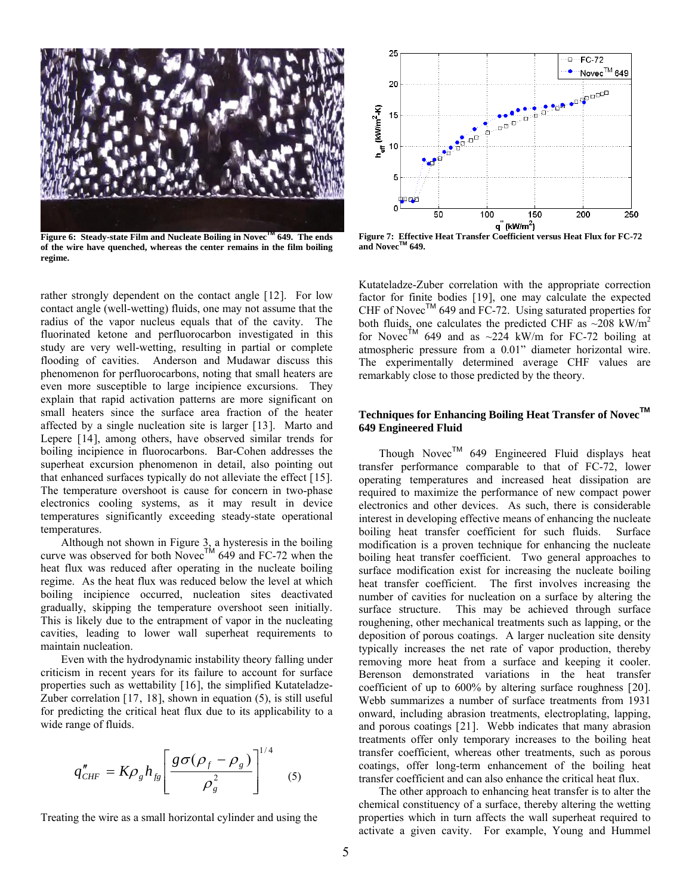

**Figure 6: Steady-state Film and Nucleate Boiling in NovecTM 649. The ends of the wire have quenched, whereas the center remains in the film boiling regime.** 

<span id="page-4-1"></span><span id="page-4-0"></span>rather strongly dependent on the contact angle [[12](#page-6-1)]. For low contact angle (well-wetting) fluids, one may not assume that the radius of the vapor nucleus equals that of the cavity. The fluorinated ketone and perfluorocarbon investigated in this study are very well-wetting, resulting in partial or complete flooding of cavities. Anderson and Mudawar discuss this phenomenon for perfluorocarbons, noting that small heaters are even more susceptible to large incipience excursions. They explain that rapid activation patterns are more significant on small heaters since the surface area fraction of the heater affected by a single nucleation site is larger [[13](#page-6-1)]. Marto and Lepere [[14](#page-6-1)], among others, have observed similar trends for boiling incipience in fluorocarbons. Bar-Cohen addresses the superheat excursion phenomenon in detail, also pointing out that enhanced surfaces typically do not alleviate the effect [[15](#page-6-1)]. The temperature overshoot is cause for concern in two-phase electronics cooling systems, as it may result in device temperatures significantly exceeding steady-state operational temperatures.

 Although not shown in Figure 3, a hysteresis in the boiling curve was observed for both Novec<sup>TM</sup> 649 and FC-72 when the heat flux was reduced after operating in the nucleate boiling regime. As the heat flux was reduced below the level at which boiling incipience occurred, nucleation sites deactivated gradually, skipping the temperature overshoot seen initially. This is likely due to the entrapment of vapor in the nucleating cavities, leading to lower wall superheat requirements to maintain nucleation.

 Even with the hydrodynamic instability theory falling under criticism in recent years for its failure to account for surface properties such as wettability [16], the simplified Kutateladze-Zuber correlation [17, 18], shown in equation (5), is still useful for predicting the critical heat flux due to its applicability to a wide range of fluids.

$$
q''_{CHF} = K\rho_g h_{fg} \left[ \frac{g\sigma(\rho_f - \rho_g)}{\rho_g^2} \right]^{1/4}
$$
 (5)

Treating the wire as a small horizontal cylinder and using the



**Figure 7: Effective Heat Transfer Coefficient versus Heat Flux for FC-72 and NovecTM 649.** 

Kutateladze-Zuber correlation with the appropriate correction factor for finite bodies [19], one may calculate the expected CHF of Novec<sup>TM</sup> 649 and FC-72. Using saturated properties for both fluids, one calculates the predicted CHF as  $\sim$ 208 kW/m<sup>2</sup> for Novec<sup>TM</sup> 649 and as  $\sim 224$  kW/m for FC-72 boiling at atmospheric pressure from a 0.01" diameter horizontal wire. The experimentally determined average CHF values are remarkably close to those predicted by the theory.

# **Techniques for Enhancing Boiling Heat Transfer of NovecTM 649 Engineered Fluid**

Though Novec<sup>TM</sup> 649 Engineered Fluid displays heat transfer performance comparable to that of FC-72, lower operating temperatures and increased heat dissipation are required to maximize the performance of new compact power electronics and other devices. As such, there is considerable interest in developing effective means of enhancing the nucleate boiling heat transfer coefficient for such fluids. Surface modification is a proven technique for enhancing the nucleate boiling heat transfer coefficient. Two general approaches to surface modification exist for increasing the nucleate boiling heat transfer coefficient. The first involves increasing the number of cavities for nucleation on a surface by altering the surface structure. This may be achieved through surface roughening, other mechanical treatments such as lapping, or the deposition of porous coatings. A larger nucleation site density typically increases the net rate of vapor production, thereby removing more heat from a surface and keeping it cooler. Berenson demonstrated variations in the heat transfer coefficient of up to 600% by altering surface roughness [20]. Webb summarizes a number of surface treatments from 1931 onward, including abrasion treatments, electroplating, lapping, and porous coatings [21]. Webb indicates that many abrasion treatments offer only temporary increases to the boiling heat transfer coefficient, whereas other treatments, such as porous coatings, offer long-term enhancement of the boiling heat transfer coefficient and can also enhance the critical heat flux.

 The other approach to enhancing heat transfer is to alter the chemical constituency of a surface, thereby altering the wetting properties which in turn affects the wall superheat required to activate a given cavity. For example, Young and Hummel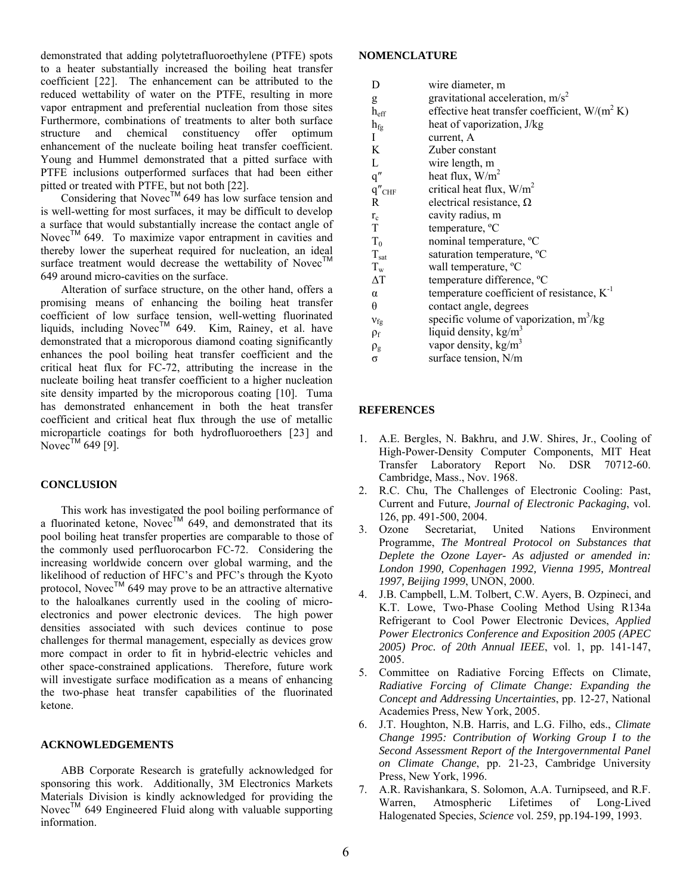<span id="page-5-2"></span>demonstrated that adding polytetrafluoroethylene (PTFE) spots to a heater substantially increased the boiling heat transfer coefficient [22]. The enhancement can be attributed to the reduced wettability of water on the PTFE, resulting in more vapor entrapment and preferential nucleation from those sites Furthermore, combinations of treatments to alter both surface structure and chemical constituency offer optimum enhancement of the nucleate boiling heat transfer coefficient. Young and Hummel demonstrated that a pitted surface with PTFE inclusions outperformed surfaces that had been either pitted or treated with PTFE, but not both [[22\]](#page-5-2).

Considering that Novec<sup>TM</sup> 649 has low surface tension and is well-wetting for most surfaces, it may be difficult to develop a surface that would substantially increase the contact angle of Novec™ 649. To maximize vapor entrapment in cavities and thereby lower the superheat required for nucleation, an ideal surface treatment would decrease the wettability of Novec<sup>TM</sup> 649 around micro-cavities on the surface.

 Alteration of surface structure, on the other hand, offers a promising means of enhancing the boiling heat transfer coefficient of low surface tension, well-wetting fluorinated liquids, including Novec<sup>TM</sup> 649. Kim, Rainey, et al. have demonstrated that a microporous diamond coating significantly enhances the pool boiling heat transfer coefficient and the critical heat flux for FC-72, attributing the increase in the nucleate boiling heat transfer coefficient to a higher nucleation site density imparted by the microporous coating [\[10](#page-2-3)]. Tuma has demonstrated enhancement in both the heat transfer coefficient and critical heat flux through the use of metallic microparticle coatings for both hydrofluoroethers [23] and Novec<sup>TM</sup> 649 [[9\]](#page-1-1).

# <span id="page-5-1"></span><span id="page-5-0"></span>**CONCLUSION**

 This work has investigated the pool boiling performance of a fluorinated ketone, Novec<sup>TM</sup> 649, and demonstrated that its pool boiling heat transfer properties are comparable to those of the commonly used perfluorocarbon FC-72. Considering the increasing worldwide concern over global warming, and the likelihood of reduction of HFC's and PFC's through the Kyoto protocol, Novec<sup>TM</sup> 649 may prove to be an attractive alternative to the haloalkanes currently used in the cooling of microelectronics and power electronic devices. The high power densities associated with such devices continue to pose challenges for thermal management, especially as devices grow more compact in order to fit in hybrid-electric vehicles and other space-constrained applications. Therefore, future work will investigate surface modification as a means of enhancing the two-phase heat transfer capabilities of the fluorinated ketone.

## **ACKNOWLEDGEMENTS**

 ABB Corporate Research is gratefully acknowledged for sponsoring this work. Additionally, 3M Electronics Markets Materials Division is kindly acknowledged for providing the Novec™ 649 Engineered Fluid along with valuable supporting information.

# **NOMENCLATURE**

| D                | wire diameter, m                                 |
|------------------|--------------------------------------------------|
| g                | gravitational acceleration, $m/s2$               |
| $h_{\text{eff}}$ | effective heat transfer coefficient, $W/(m^2 K)$ |
| $h_{fg}$         | heat of vaporization, J/kg                       |
| I                | current, A                                       |
| K                | Zuber constant                                   |
| L                | wire length, m                                   |
| q''              | heat flux, $W/m^2$                               |
| $q''_{CHF}$      | critical heat flux, $W/m^2$                      |
| R                | electrical resistance, $\Omega$                  |
| $r_c$            | cavity radius, m                                 |
| T                | temperature, <sup>o</sup> C                      |
| $T_0$            | nominal temperature, <sup>o</sup> C              |
| $T_{\text{sat}}$ | saturation temperature, °C                       |
| $T_{w}$          | wall temperature, °C                             |
| ΔТ               | temperature difference, <sup>o</sup> C           |
| α                | temperature coefficient of resistance, $K^{-1}$  |
| θ                | contact angle, degrees                           |
| $V_{fg}$         | specific volume of vaporization, $m^3/kg$        |
| $\rho_{\rm f}$   | liquid density, $kg/m3$                          |
| $\rho_g$         | vapor density, $kg/m3$                           |
| $\sigma$         | surface tension, N/m                             |

## **REFERENCES**

- 1. A.E. Bergles, N. Bakhru, and J.W. Shires, Jr., Cooling of High-Power-Density Computer Components, MIT Heat Transfer Laboratory Report No. DSR 70712-60. Cambridge, Mass., Nov. 1968.
- 2. R.C. Chu, The Challenges of Electronic Cooling: Past, Current and Future, *Journal of Electronic Packaging*, vol. 126, pp. 491-500, 2004.
- 3. Ozone Secretariat, United Nations Environment Programme, *The Montreal Protocol on Substances that Deplete the Ozone Layer- As adjusted or amended in: London 1990, Copenhagen 1992, Vienna 1995, Montreal 1997, Beijing 1999*, UNON, 2000.
- 4. J.B. Campbell, L.M. Tolbert, C.W. Ayers, B. Ozpineci, and K.T. Lowe, Two-Phase Cooling Method Using R134a Refrigerant to Cool Power Electronic Devices, *Applied Power Electronics Conference and Exposition 2005 (APEC 2005) Proc. of 20th Annual IEEE*, vol. 1, pp. 141-147, 2005.
- 5. Committee on Radiative Forcing Effects on Climate, *Radiative Forcing of Climate Change: Expanding the Concept and Addressing Uncertainties*, pp. 12-27, National Academies Press, New York, 2005.
- 6. J.T. Houghton, N.B. Harris, and L.G. Filho, eds., *Climate Change 1995: Contribution of Working Group I to the Second Assessment Report of the Intergovernmental Panel on Climate Change*, pp. 21-23, Cambridge University Press, New York, 1996.
- 7. A.R. Ravishankara, S. Solomon, A.A. Turnipseed, and R.F. Warren, Atmospheric Lifetimes of Long-Lived Halogenated Species, *Science* vol. 259, pp.194-199, 1993.